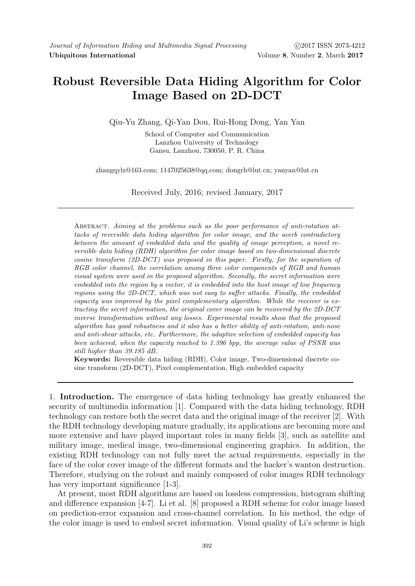## Robust Reversible Data Hiding Algorithm for Color Image Based on 2D-DCT

Qiu-Yu Zhang, Qi-Yan Dou, Rui-Hong Dong, Yan Yan

School of Computer and Communication Lanzhou University of Technology Gansu, Lanzhou, 730050, P. R. China

zhangqylz@163.com; 1147025638@qq.com; dongrh@lut.cn; yanyan@lut.cn

Received July, 2016; revised January, 2017

Abstract. Aiming at the problems such as the poor performance of anti-rotation attacks of reversible data hiding algorithm for color image, and the acerb contradictory between the amount of embedded data and the quality of image perception, a novel reversible data hiding (RDH) algorithm for color image based on two-dimensional discrete cosine transform (2D-DCT) was proposed in this paper. Firstly, for the separation of RGB color channel, the correlation among three color components of RGB and human visual system were used in the proposed algorithm. Secondly, the secret information were embedded into the region by a vector, it is embedded into the host image of low frequency regions using the 2D-DCT, which was not easy to suffer attacks. Finally, the embedded capacity was improved by the pixel complementary algorithm. While the receiver is extracting the secret information, the original cover image can be recovered by the 2D-DCT inverse transformation without any losses. Experimental results show that the proposed algorithm has good robustness and it also has a better ability of anti-rotation, anti-nose and anti-shear attacks, etc. Furthermore, the adaptive selection of embedded capacity has been achieved, when the capacity reached to 1.396 bpp, the average value of PSNR was still higher than 39.185 dB.

Keywords: Reversible data hiding (RDH), Color image, Two-dimensional discrete cosine transform (2D-DCT), Pixel complementation, High embedded capacity

1. Introduction. The emergence of data hiding technology has greatly enhanced the security of multimedia information [1]. Compared with the data hiding technology, RDH technology can restore both the secret data and the original image of the receiver [2]. With the RDH technology developing mature gradually, its applications are becoming more and more extensive and have played important roles in many fields [3], such as satellite and military image, medical image, two-dimensional engineering graphics. In addition, the existing RDH technology can not fully meet the actual requirements, especially in the face of the color cover image of the different formats and the hacker's wanton destruction. Therefore, studying on the robust and mainly composed of color images RDH technology has very important significance [1-3].

At present, most RDH algorithms are based on lossless compression, histogram shifting and difference expansion [4-7]. Li et al. [8] proposed a RDH scheme for color image based on prediction-error expansion and cross-channel correlation. In his method, the edge of the color image is used to embed secret information. Visual quality of Li's scheme is high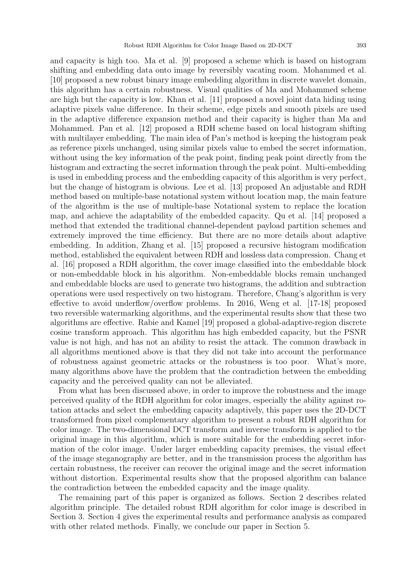and capacity is high too. Ma et al. [9] proposed a scheme which is based on histogram shifting and embedding data onto image by reversibly vacating room. Mohammed et al. [10] proposed a new robust binary image embedding algorithm in discrete wavelet domain, this algorithm has a certain robustness. Visual qualities of Ma and Mohammed scheme are high but the capacity is low. Khan et al. [11] proposed a novel joint data hiding using adaptive pixels value difference. In their scheme, edge pixels and smooth pixels are used in the adaptive difference expansion method and their capacity is higher than Ma and Mohammed. Pan et al. [12] proposed a RDH scheme based on local histogram shifting with multilayer embedding. The main idea of Pan's method is keeping the histogram peak as reference pixels unchanged, using similar pixels value to embed the secret information, without using the key information of the peak point, finding peak point directly from the histogram and extracting the secret information through the peak point. Multi-embedding is used in embedding process and the embedding capacity of this algorithm is very perfect, but the change of histogram is obvious. Lee et al. [13] proposed An adjustable and RDH method based on multiple-base notational system without location map, the main feature of the algorithm is the use of multiple-base Notational system to replace the location map, and achieve the adaptability of the embedded capacity. Qu et al. [14] proposed a method that extended the traditional channel-dependent payload partition schemes and extremely improved the time efficiency. But there are no more details about adaptive embedding. In addition, Zhang et al. [15] proposed a recursive histogram modification method, established the equivalent between RDH and lossless data compression. Chang et al. [16] proposed a RDH algorithm, the cover image classified into the embeddable block or non-embeddable block in his algorithm. Non-embeddable blocks remain unchanged and embeddable blocks are used to generate two histograms, the addition and subtraction operations were used respectively on two histogram. Therefore, Chang's algorithm is very effective to avoid underflow/overflow problems. In 2016, Weng et al. [17-18] proposed two reversible watermarking algorithms, and the experimental results show that these two algorithms are effective. Rabie and Kamel [19] proposed a global-adaptive-region discrete cosine transform approach. This algorithm has high embedded capacity, but the PSNR value is not high, and has not an ability to resist the attack. The common drawback in all algorithms mentioned above is that they did not take into account the performance of robustness against geometric attacks or the robustness is too poor. What's more, many algorithms above have the problem that the contradiction between the embedding capacity and the perceived quality can not be alleviated.

From what has been discussed above, in order to improve the robustness and the image perceived quality of the RDH algorithm for color images, especially the ability against rotation attacks and select the embedding capacity adaptively, this paper uses the 2D-DCT transformed from pixel complementary algorithm to present a robust RDH algorithm for color image. The two-dimensional DCT transform and inverse transform is applied to the original image in this algorithm, which is more suitable for the embedding secret information of the color image. Under larger embedding capacity premises, the visual effect of the image steganography are better, and in the transmission process the algorithm has certain robustness, the receiver can recover the original image and the secret information without distortion. Experimental results show that the proposed algorithm can balance the contradiction between the embedded capacity and the image quality.

The remaining part of this paper is organized as follows. Section 2 describes related algorithm principle. The detailed robust RDH algorithm for color image is described in Section 3. Section 4 gives the experimental results and performance analysis as compared with other related methods. Finally, we conclude our paper in Section 5.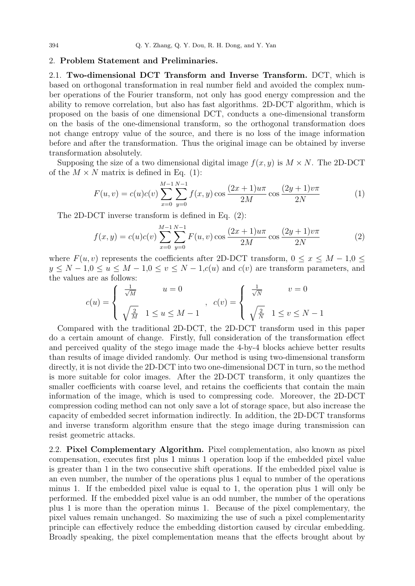## 2. Problem Statement and Preliminaries.

2.1. Two-dimensional DCT Transform and Inverse Transform. DCT, which is based on orthogonal transformation in real number field and avoided the complex number operations of the Fourier transform, not only has good energy compression and the ability to remove correlation, but also has fast algorithms. 2D-DCT algorithm, which is proposed on the basis of one dimensional DCT, conducts a one-dimensional transform on the basis of the one-dimensional transform, so the orthogonal transformation does not change entropy value of the source, and there is no loss of the image information before and after the transformation. Thus the original image can be obtained by inverse transformation absolutely.

Supposing the size of a two dimensional digital image  $f(x, y)$  is  $M \times N$ . The 2D-DCT of the  $M \times N$  matrix is defined in Eq. (1):

$$
F(u,v) = c(u)c(v)\sum_{x=0}^{M-1}\sum_{y=0}^{N-1}f(x,y)\cos\frac{(2x+1)u\pi}{2M}\cos\frac{(2y+1)v\pi}{2N}
$$
(1)

The 2D-DCT inverse transform is defined in Eq. (2):

$$
f(x,y) = c(u)c(v)\sum_{x=0}^{M-1}\sum_{y=0}^{N-1}F(u,v)\cos\frac{(2x+1)u\pi}{2M}\cos\frac{(2y+1)v\pi}{2N}
$$
(2)

where  $F(u, v)$  represents the coefficients after 2D-DCT transform,  $0 \le x \le M - 1, 0 \le$  $y \le N - 1, 0 \le u \le M - 1, 0 \le v \le N - 1, c(u)$  and  $c(v)$  are transform parameters, and the values are as follows:

$$
c(u) = \begin{cases} \frac{1}{\sqrt{M}} & u = 0 \\ \sqrt{\frac{2}{M}} & 1 \le u \le M - 1 \end{cases}, \quad c(v) = \begin{cases} \frac{1}{\sqrt{N}} & v = 0 \\ \sqrt{\frac{2}{N}} & 1 \le v \le N - 1 \end{cases}
$$

Compared with the traditional 2D-DCT, the 2D-DCT transform used in this paper do a certain amount of change. Firstly, full consideration of the transformation effect and perceived quality of the stego image made the 4-by-4 blocks achieve better results than results of image divided randomly. Our method is using two-dimensional transform directly, it is not divide the 2D-DCT into two one-dimensional DCT in turn, so the method is more suitable for color images. After the 2D-DCT transform, it only quantizes the smaller coefficients with coarse level, and retains the coefficients that contain the main information of the image, which is used to compressing code. Moreover, the 2D-DCT compression coding method can not only save a lot of storage space, but also increase the capacity of embedded secret information indirectly. In addition, the 2D-DCT transforms and inverse transform algorithm ensure that the stego image during transmission can resist geometric attacks.

2.2. Pixel Complementary Algorithm. Pixel complementation, also known as pixel compensation, executes first plus 1 minus 1 operation loop if the embedded pixel value is greater than 1 in the two consecutive shift operations. If the embedded pixel value is an even number, the number of the operations plus 1 equal to number of the operations minus 1. If the embedded pixel value is equal to 1, the operation plus 1 will only be performed. If the embedded pixel value is an odd number, the number of the operations plus 1 is more than the operation minus 1. Because of the pixel complementary, the pixel values remain unchanged. So maximizing the use of such a pixel complementarity principle can effectively reduce the embedding distortion caused by circular embedding. Broadly speaking, the pixel complementation means that the effects brought about by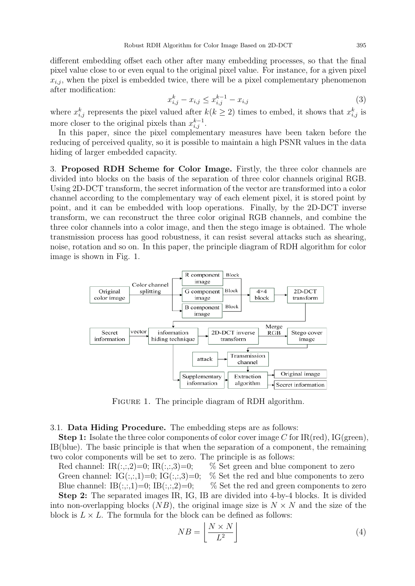different embedding offset each other after many embedding processes, so that the final pixel value close to or even equal to the original pixel value. For instance, for a given pixel  $x_{i,j}$ , when the pixel is embedded twice, there will be a pixel complementary phenomenon after modification:

$$
x_{i,j}^k - x_{i,j} \le x_{i,j}^{k-1} - x_{i,j} \tag{3}
$$

where  $x_{i,j}^k$  represents the pixel valued after  $k(k \geq 2)$  times to embed, it shows that  $x_{i,j}^k$  is more closer to the original pixels than  $x_{i,j}^{k-1}$ .

In this paper, since the pixel complementary measures have been taken before the reducing of perceived quality, so it is possible to maintain a high PSNR values in the data hiding of larger embedded capacity.

3. Proposed RDH Scheme for Color Image. Firstly, the three color channels are divided into blocks on the basis of the separation of three color channels original RGB. Using 2D-DCT transform, the secret information of the vector are transformed into a color channel according to the complementary way of each element pixel, it is stored point by point, and it can be embedded with loop operations. Finally, by the 2D-DCT inverse transform, we can reconstruct the three color original RGB channels, and combine the three color channels into a color image, and then the stego image is obtained. The whole transmission process has good robustness, it can resist several attacks such as shearing, noise, rotation and so on. In this paper, the principle diagram of RDH algorithm for color image is shown in Fig. 1.



FIGURE 1. The principle diagram of RDH algorithm.

## 3.1. Data Hiding Procedure. The embedding steps are as follows:

**Step 1:** Isolate the three color components of color cover image C for IR(red), IG(green). IB(blue). The basic principle is that when the separation of a component, the remaining two color components will be set to zero. The principle is as follows:

Red channel: IR(:,:,2)=0; IR(:,:,3)=0; % Set green and blue component to zero Green channel:  $IG(:,,1)=0; IG(:,,3)=0;$  % Set the red and blue components to zero Blue channel: IB(:,:,1)=0; IB(:,:,2)=0; % Set the red and green components to zero

Step 2: The separated images IR, IG, IB are divided into 4-by-4 blocks. It is divided into non-overlapping blocks  $(NB)$ , the original image size is  $N \times N$  and the size of the block is  $L \times L$ . The formula for the block can be defined as follows:

$$
NB = \left\lfloor \frac{N \times N}{L^2} \right\rfloor \tag{4}
$$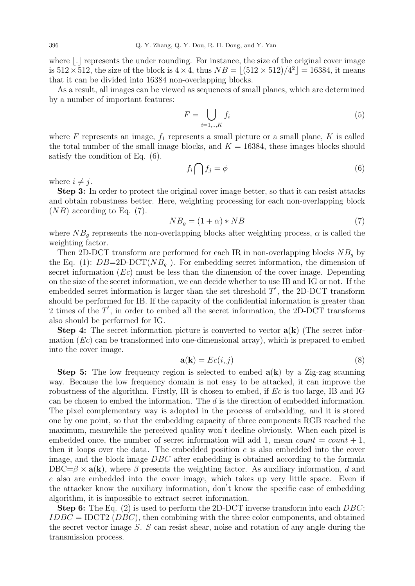where  $\lfloor . \rfloor$  represents the under rounding. For instance, the size of the original cover image is  $512 \times 512$ , the size of the block is  $4 \times 4$ , thus  $NB = \lfloor (512 \times 512)/4^2 \rfloor = 16384$ , it means that it can be divided into 16384 non-overlapping blocks.

As a result, all images can be viewed as sequences of small planes, which are determined by a number of important features:

$$
F = \bigcup_{i=1,\dots,K} f_i \tag{5}
$$

where F represents an image,  $f_1$  represents a small picture or a small plane, K is called the total number of the small image blocks, and  $K = 16384$ , these images blocks should satisfy the condition of Eq. (6).

$$
f_i \bigcap f_j = \phi \tag{6}
$$

where  $i \neq j$ .

Step 3: In order to protect the original cover image better, so that it can resist attacks and obtain robustness better. Here, weighting processing for each non-overlapping block  $(NB)$  according to Eq. (7).

$$
NB_g = (1 + \alpha) * NB \tag{7}
$$

where  $NB<sub>g</sub>$  represents the non-overlapping blocks after weighting process,  $\alpha$  is called the weighting factor.

Then 2D-DCT transform are performed for each IR in non-overlapping blocks  $NB<sub>q</sub>$  by the Eq. (1):  $DB = 2D-DCT(NB<sub>q</sub>)$ . For embedding secret information, the dimension of secret information  $(Ec)$  must be less than the dimension of the cover image. Depending on the size of the secret information, we can decide whether to use IB and IG or not. If the embedded secret information is larger than the set threshold  $T'$ , the 2D-DCT transform should be performed for IB. If the capacity of the confidential information is greater than 2 times of the  $T'$ , in order to embed all the secret information, the 2D-DCT transforms also should be performed for IG.

**Step 4:** The secret information picture is converted to vector  $a(k)$  (The secret information  $(Ec)$  can be transformed into one-dimensional array), which is prepared to embed into the cover image.

$$
\mathbf{a}(\mathbf{k}) = Ec(i, j) \tag{8}
$$

**Step 5:** The low frequency region is selected to embed  $a(k)$  by a Zig-zag scanning way. Because the low frequency domain is not easy to be attacked, it can improve the robustness of the algorithm. Firstly, IR is chosen to embed, if Ec is too large, IB and IG can be chosen to embed the information. The d is the direction of embedded information. The pixel complementary way is adopted in the process of embedding, and it is stored one by one point, so that the embedding capacity of three components RGB reached the maximum, meanwhile the perceived quality won<sup>'</sup>t decline obviously. When each pixel is embedded once, the number of secret information will add 1, mean count  $= count + 1$ , then it loops over the data. The embedded position  $e$  is also embedded into the cover image, and the block image DBC after embedding is obtained according to the formula  $DBC=\beta \times \mathbf{a}(\mathbf{k})$ , where  $\beta$  presents the weighting factor. As auxiliary information, d and e also are embedded into the cover image, which takes up very little space. Even if the attacker know the auxiliary information, don't know the specific case of embedding algorithm, it is impossible to extract secret information.

Step 6: The Eq. (2) is used to perform the 2D-DCT inverse transform into each DBC:  $IDBC = IDCT2 (DBC)$ , then combining with the three color components, and obtained the secret vector image  $S$ .  $S$  can resist shear, noise and rotation of any angle during the transmission process.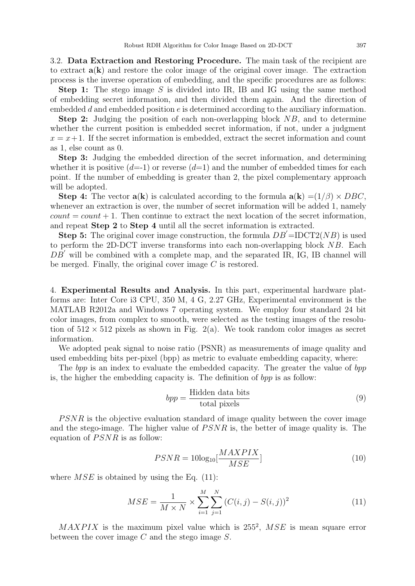3.2. Data Extraction and Restoring Procedure. The main task of the recipient are to extract  $a(k)$  and restore the color image of the original cover image. The extraction process is the inverse operation of embedding, and the specific procedures are as follows:

**Step 1:** The stego image S is divided into IR, IB and IG using the same method of embedding secret information, and then divided them again. And the direction of embedded  $d$  and embedded position  $e$  is determined according to the auxiliary information.

Step 2: Judging the position of each non-overlapping block NB, and to determine whether the current position is embedded secret information, if not, under a judgment  $x = x + 1$ . If the secret information is embedded, extract the secret information and count as 1, else count as 0.

Step 3: Judging the embedded direction of the secret information, and determining whether it is positive  $(d=1)$  or reverse  $(d=1)$  and the number of embedded times for each point. If the number of embedding is greater than 2, the pixel complementary approach will be adopted.

**Step 4:** The vector  $\mathbf{a}(\mathbf{k})$  is calculated according to the formula  $\mathbf{a}(\mathbf{k}) = (1/\beta) \times DBC$ . whenever an extraction is over, the number of secret information will be added 1, namely  $count = count + 1$ . Then continue to extract the next location of the secret information, and repeat Step 2 to Step 4 until all the secret information is extracted.

**Step 5:** The original cover image construction, the formula  $DB' = IDCT2(NB)$  is used to perform the 2D-DCT inverse transforms into each non-overlapping block NB. Each  $DB'$  will be combined with a complete map, and the separated IR, IG, IB channel will be merged. Finally, the original cover image C is restored.

4. Experimental Results and Analysis. In this part, experimental hardware platforms are: Inter Core i3 CPU, 350 M, 4 G, 2.27 GHz, Experimental environment is the MATLAB R2012a and Windows 7 operating system. We employ four standard 24 bit color images, from complex to smooth, were selected as the testing images of the resolution of  $512 \times 512$  pixels as shown in Fig. 2(a). We took random color images as secret information.

We adopted peak signal to noise ratio (PSNR) as measurements of image quality and used embedding bits per-pixel (bpp) as metric to evaluate embedding capacity, where:

The bpp is an index to evaluate the embedded capacity. The greater the value of bpp is, the higher the embedding capacity is. The definition of bpp is as follow:

$$
bpp = \frac{\text{Hidden data bits}}{\text{total pixels}}\tag{9}
$$

PSNR is the objective evaluation standard of image quality between the cover image and the stego-image. The higher value of  $PSNR$  is, the better of image quality is. The equation of  $PSNR$  is as follow:

$$
PSNR = 10\log_{10} \left[\frac{MAXPIX}{MSE}\right] \tag{10}
$$

where  $MSE$  is obtained by using the Eq. (11):

$$
MSE = \frac{1}{M \times N} \times \sum_{i=1}^{M} \sum_{j=1}^{N} (C(i,j) - S(i,j))^2
$$
(11)

 $MAXPIX$  is the maximum pixel value which is  $255^2$ ,  $MSE$  is mean square error between the cover image C and the stego image S.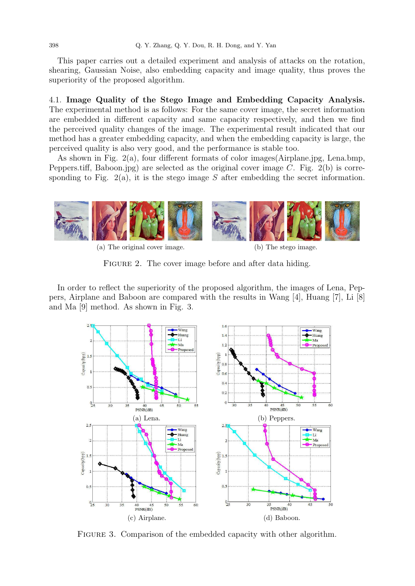This paper carries out a detailed experiment and analysis of attacks on the rotation, shearing, Gaussian Noise, also embedding capacity and image quality, thus proves the superiority of the proposed algorithm.

4.1. Image Quality of the Stego Image and Embedding Capacity Analysis. The experimental method is as follows: For the same cover image, the secret information are embedded in different capacity and same capacity respectively, and then we find the perceived quality changes of the image. The experimental result indicated that our method has a greater embedding capacity, and when the embedding capacity is large, the perceived quality is also very good, and the performance is stable too.

As shown in Fig. 2(a), four different formats of color images(Airplane.jpg, Lena.bmp, Peppers.tiff, Baboon.jpg) are selected as the original cover image C. Fig.  $2(b)$  is corresponding to Fig. 2(a), it is the stego image S after embedding the secret information.



(a) The original cover image. (b) The stego image.

FIGURE 2. The cover image before and after data hiding.

In order to reflect the superiority of the proposed algorithm, the images of Lena, Peppers, Airplane and Baboon are compared with the results in Wang [4], Huang [7], Li [8] and Ma [9] method. As shown in Fig. 3.



FIGURE 3. Comparison of the embedded capacity with other algorithm.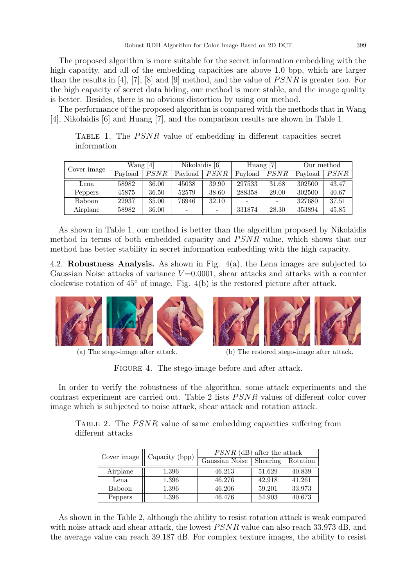The proposed algorithm is more suitable for the secret information embedding with the high capacity, and all of the embedding capacities are above 1.0 bpp, which are larger than the results in [4], [7], [8] and [9] method, and the value of  $PSNR$  is greater too. For the high capacity of secret data hiding, our method is more stable, and the image quality is better. Besides, there is no obvious distortion by using our method.

The performance of the proposed algorithm is compared with the methods that in Wang [4], Nikolaidis [6] and Huang [7], and the comparison results are shown in Table 1.

| Cover image   | Wang $[4]$ |       | Nikolaidis [6] |       | Huang $[7]$ |             | Our method |       |
|---------------|------------|-------|----------------|-------|-------------|-------------|------------|-------|
|               | Payload    | PSNR  | Payload        | PSNR  | Payload     | <b>PSNR</b> | Payload    | PSNR  |
| Lena          | 58982      | 36.00 | 45038          | 39.90 | 297533      | 31.68       | 302500     | 43.47 |
| Peppers       | 45875      | 36.50 | 52579          | 38.60 | 288358      | 29.00       | 302500     | 40.67 |
| <b>Baboon</b> | 22937      | 35.00 | 76946          | 32.10 |             |             | 327680     | 37.51 |
| Airplane      | 58982      | 36.00 |                |       | 331874      | 28.30       | 353894     | 45.85 |

TABLE 1. The  $PSNR$  value of embedding in different capacities secret information

As shown in Table 1, our method is better than the algorithm proposed by Nikolaidis method in terms of both embedded capacity and PSNR value, which shows that our method has better stability in secret information embedding with the high capacity.

4.2. **Robustness Analysis.** As shown in Fig.  $4(a)$ , the Lena images are subjected to Gaussian Noise attacks of variance  $V = 0.0001$ , shear attacks and attacks with a counter clockwise rotation of 45◦ of image. Fig. 4(b) is the restored picture after attack.



(a) The stego-image after attack. (b) The restored stego-image after attack.

FIGURE 4. The stego-image before and after attack.

In order to verify the robustness of the algorithm, some attack experiments and the contrast experiment are carried out. Table 2 lists *PSNR* values of different color cover image which is subjected to noise attack, shear attack and rotation attack.

TABLE 2. The  $PSNR$  value of same embedding capacities suffering from different attacks

| Cover image | Capacity (bpp) | $PSNR$ (dB) after the attack |          |          |  |  |
|-------------|----------------|------------------------------|----------|----------|--|--|
|             |                | Gaussian Noise               | Shearing | Rotation |  |  |
| Airplane    | 1.396          | 46.213                       | 51.629   | 40.839   |  |  |
| Lena        | 1.396          | 46.276                       | 42.918   | 41.261   |  |  |
| Baboon      | 1.396          | 46.206                       | 59.201   | 33.973   |  |  |
| Peppers     | 1.396          | 46.476                       | 54.903   | 40.673   |  |  |

As shown in the Table 2, although the ability to resist rotation attack is weak compared with noise attack and shear attack, the lowest  $PSNR$  value can also reach 33.973 dB, and the average value can reach 39.187 dB. For complex texture images, the ability to resist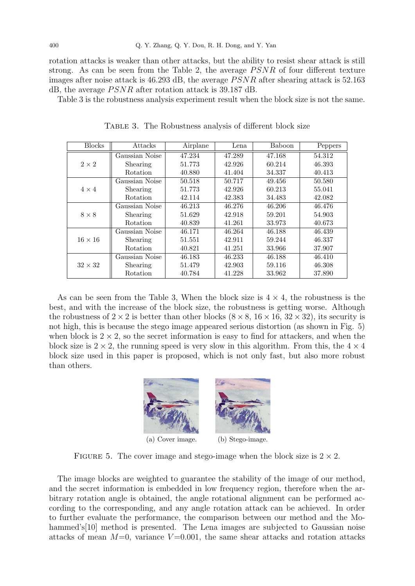rotation attacks is weaker than other attacks, but the ability to resist shear attack is still strong. As can be seen from the Table 2, the average  $PSNR$  of four different texture images after noise attack is  $46.293$  dB, the average  $PSNR$  after shearing attack is 52.163 dB, the average  $PSNR$  after rotation attack is 39.187 dB.

Table 3 is the robustness analysis experiment result when the block size is not the same.

| <b>Blocks</b>  | Attacks         | Airplane | Lena   | Baboon | Peppers |
|----------------|-----------------|----------|--------|--------|---------|
| $2\times 2$    | Gaussian Noise  | 47.234   | 47.289 | 47.168 | 54.312  |
|                | Shearing        | 51.773   | 42.926 | 60.214 | 46.393  |
|                | Rotation        | 40.880   | 41.404 | 34.337 | 40.413  |
|                | Gaussian Noise  | 50.518   | 50.717 | 49.456 | 50.580  |
| $4 \times 4$   | Shearing        | 51.773   | 42.926 | 60.213 | 55.041  |
|                | Rotation        | 42.114   | 42.383 | 34.483 | 42.082  |
| $8 \times 8$   | Gaussian Noise  | 46.213   | 46.276 | 46.206 | 46.476  |
|                | Shearing        | 51.629   | 42.918 | 59.201 | 54.903  |
|                | Rotation        | 40.839   | 41.261 | 33.973 | 40.673  |
|                | Gaussian Noise  | 46.171   | 46.264 | 46.188 | 46.439  |
| $16 \times 16$ | Shearing        | 51.551   | 42.911 | 59.244 | 46.337  |
|                | Rotation        | 40.821   | 41.251 | 33.966 | 37.907  |
| $32 \times 32$ | Gaussian Noise  | 46.183   | 46.233 | 46.188 | 46.410  |
|                | <b>Shearing</b> | 51.479   | 42.903 | 59.116 | 46.308  |
|                | Rotation        | 40.784   | 41.228 | 33.962 | 37.890  |

TABLE 3. The Robustness analysis of different block size

As can be seen from the Table 3, When the block size is  $4 \times 4$ , the robustness is the best, and with the increase of the block size, the robustness is getting worse. Although the robustness of  $2 \times 2$  is better than other blocks  $(8 \times 8, 16 \times 16, 32 \times 32)$ , its security is not high, this is because the stego image appeared serious distortion (as shown in Fig. 5) when block is  $2 \times 2$ , so the secret information is easy to find for attackers, and when the block size is  $2 \times 2$ , the running speed is very slow in this algorithm. From this, the  $4 \times 4$ block size used in this paper is proposed, which is not only fast, but also more robust than others.



FIGURE 5. The cover image and stego-image when the block size is  $2 \times 2$ .

The image blocks are weighted to guarantee the stability of the image of our method, and the secret information is embedded in low frequency region, therefore when the arbitrary rotation angle is obtained, the angle rotational alignment can be performed according to the corresponding, and any angle rotation attack can be achieved. In order to further evaluate the performance, the comparison between our method and the Mohammed's<sup>[10]</sup> method is presented. The Lena images are subjected to Gaussian noise attacks of mean  $M=0$ , variance  $V=0.001$ , the same shear attacks and rotation attacks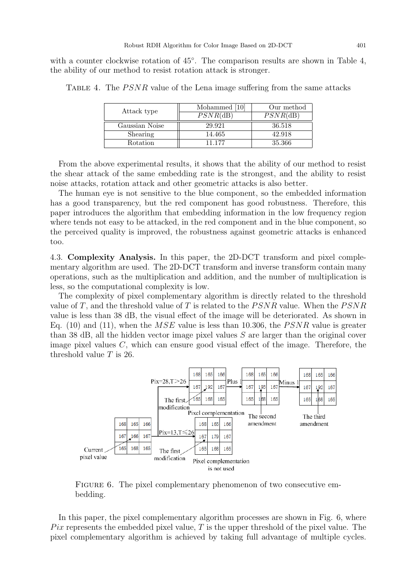with a counter clockwise rotation of  $45^{\circ}$ . The comparison results are shown in Table 4, the ability of our method to resist rotation attack is stronger.

| Attack type    | Mohammed [10] | Our method  |
|----------------|---------------|-------------|
|                | $PSNR$ (dB)   | $PSNR$ (dB) |
| Gaussian Noise | 29.921        | 36.518      |
| Shearing       | 14.465        | 42.918      |
| Rotation       | 11 177        | 35.366      |

TABLE 4. The *PSNR* value of the Lena image suffering from the same attacks

From the above experimental results, it shows that the ability of our method to resist the shear attack of the same embedding rate is the strongest, and the ability to resist noise attacks, rotation attack and other geometric attacks is also better.

The human eye is not sensitive to the blue component, so the embedded information has a good transparency, but the red component has good robustness. Therefore, this paper introduces the algorithm that embedding information in the low frequency region where tends not easy to be attacked, in the red component and in the blue component, so the perceived quality is improved, the robustness against geometric attacks is enhanced too.

4.3. Complexity Analysis. In this paper, the 2D-DCT transform and pixel complementary algorithm are used. The 2D-DCT transform and inverse transform contain many operations, such as the multiplication and addition, and the number of multiplication is less, so the computational complexity is low.

The complexity of pixel complementary algorithm is directly related to the threshold value of T, and the threshold value of T is related to the  $PSNR$  value. When the  $PSNR$ value is less than 38 dB, the visual effect of the image will be deteriorated. As shown in Eq. (10) and (11), when the  $MSE$  value is less than 10.306, the PSNR value is greater than 38 dB, all the hidden vector image pixel values S are larger than the original cover image pixel values C, which can ensure good visual effect of the image. Therefore, the threshold value  $T$  is 26.



FIGURE 6. The pixel complementary phenomenon of two consecutive embedding.

In this paper, the pixel complementary algorithm processes are shown in Fig. 6, where Pix represents the embedded pixel value, T is the upper threshold of the pixel value. The pixel complementary algorithm is achieved by taking full advantage of multiple cycles.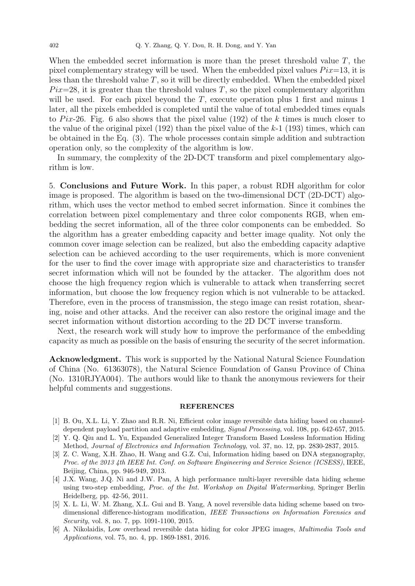When the embedded secret information is more than the preset threshold value  $T$ , the pixel complementary strategy will be used. When the embedded pixel values  $Pix=13$ , it is less than the threshold value  $T$ , so it will be directly embedded. When the embedded pixel  $Pix=28$ , it is greater than the threshold values T, so the pixel complementary algorithm will be used. For each pixel beyond the  $T$ , execute operation plus 1 first and minus 1 later, all the pixels embedded is completed until the value of total embedded times equals to Pix-26. Fig. 6 also shows that the pixel value (192) of the k times is much closer to the value of the original pixel  $(192)$  than the pixel value of the k-1  $(193)$  times, which can be obtained in the Eq. (3). The whole processes contain simple addition and subtraction operation only, so the complexity of the algorithm is low.

In summary, the complexity of the 2D-DCT transform and pixel complementary algorithm is low.

5. Conclusions and Future Work. In this paper, a robust RDH algorithm for color image is proposed. The algorithm is based on the two-dimensional DCT (2D-DCT) algorithm, which uses the vector method to embed secret information. Since it combines the correlation between pixel complementary and three color components RGB, when embedding the secret information, all of the three color components can be embedded. So the algorithm has a greater embedding capacity and better image quality. Not only the common cover image selection can be realized, but also the embedding capacity adaptive selection can be achieved according to the user requirements, which is more convenient for the user to find the cover image with appropriate size and characteristics to transfer secret information which will not be founded by the attacker. The algorithm does not choose the high frequency region which is vulnerable to attack when transferring secret information, but choose the low frequency region which is not vulnerable to be attacked. Therefore, even in the process of transmission, the stego image can resist rotation, shearing, noise and other attacks. And the receiver can also restore the original image and the secret information without distortion according to the 2D DCT inverse transform.

Next, the research work will study how to improve the performance of the embedding capacity as much as possible on the basis of ensuring the security of the secret information.

Acknowledgment. This work is supported by the National Natural Science Foundation of China (No. 61363078), the Natural Science Foundation of Gansu Province of China (No. 1310RJYA004). The authors would like to thank the anonymous reviewers for their helpful comments and suggestions.

## **REFERENCES**

- [1] B. Ou, X.L. Li, Y. Zhao and R.R. Ni, Efficient color image reversible data hiding based on channeldependent payload partition and adaptive embedding, Signal Processing, vol. 108, pp. 642-657, 2015.
- [2] Y. Q. Qiu and L. Yu, Expanded Generalized Integer Transform Based Lossless Information Hiding Method, Journal of Electronics and Information Technology, vol. 37, no. 12, pp. 2830-2837, 2015.
- [3] Z. C. Wang, X.H. Zhao, H. Wang and G.Z. Cui, Information hiding based on DNA steganography, Proc. of the 2013 4th IEEE Int. Conf. on Software Engineering and Service Science (ICSESS), IEEE, Beijing, China, pp. 946-949, 2013.
- [4] J.X. Wang, J.Q. Ni and J.W. Pan, A high performance multi-layer reversible data hiding scheme using two-step embedding, *Proc. of the Int. Workshop on Digital Watermarking*, Springer Berlin Heidelberg, pp. 42-56, 2011.
- [5] X. L. Li, W. M. Zhang, X.L. Gui and B. Yang, A novel reversible data hiding scheme based on twodimensional difference-histogram modification, IEEE Transactions on Information Forensics and Security, vol. 8, no. 7, pp. 1091-1100, 2015.
- [6] A. Nikolaidis, Low overhead reversible data hiding for color JPEG images, Multimedia Tools and Applications, vol. 75, no. 4, pp. 1869-1881, 2016.